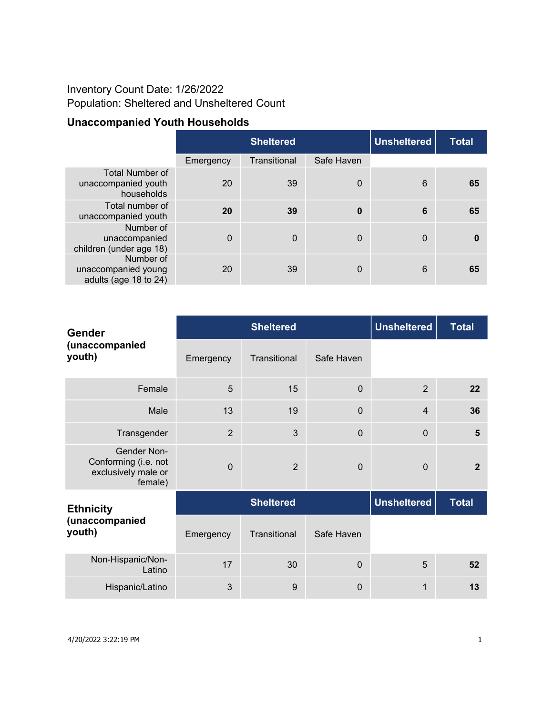## Inventory Count Date: 1/26/2022 Population: Sheltered and Unsheltered Count

## **Unaccompanied Youth Households**

|                                                             |           | <b>Sheltered</b> | <b>Unsheltered</b> | Total        |    |
|-------------------------------------------------------------|-----------|------------------|--------------------|--------------|----|
|                                                             | Emergency | Transitional     | Safe Haven         |              |    |
| <b>Total Number of</b><br>unaccompanied youth<br>households | 20        | 39               | $\overline{0}$     | 6            | 65 |
| Total number of<br>unaccompanied youth                      | 20        | 39               | $\bf{0}$           | 6            | 65 |
| Number of<br>unaccompanied<br>children (under age 18)       | $\Omega$  | $\mathbf 0$      | $\Omega$           | $\mathbf{0}$ | 0  |
| Number of<br>unaccompanied young<br>adults (age 18 to 24)   | 20        | 39               | $\Omega$           | 6            | 65 |

| <b>Gender</b><br>(unaccompanied<br>youth)                                    |                  | <b>Sheltered</b> | <b>Unsheltered</b> | <b>Total</b>       |                |
|------------------------------------------------------------------------------|------------------|------------------|--------------------|--------------------|----------------|
|                                                                              | Emergency        | Transitional     | Safe Haven         |                    |                |
| Female                                                                       | 5                | 15               | 0                  | $\overline{2}$     | 22             |
| Male                                                                         | 13               | 19               | $\Omega$           | $\overline{4}$     | 36             |
| Transgender                                                                  | $\overline{2}$   | 3                | $\Omega$           | $\Omega$           | 5              |
| <b>Gender Non-</b><br>Conforming (i.e. not<br>exclusively male or<br>female) | $\overline{0}$   | $\overline{2}$   | $\Omega$           | $\Omega$           | $\overline{2}$ |
| <b>Ethnicity</b>                                                             | <b>Sheltered</b> |                  |                    | <b>Unsheltered</b> | <b>Total</b>   |
| (unaccompanied<br>youth)                                                     | Emergency        | Transitional     | Safe Haven         |                    |                |
| Non-Hispanic/Non-<br>Latino                                                  | 17               | 30               | $\Omega$           | 5                  | 52             |
| Hispanic/Latino                                                              | 3                | 9                | $\mathbf 0$        | 1                  | 13             |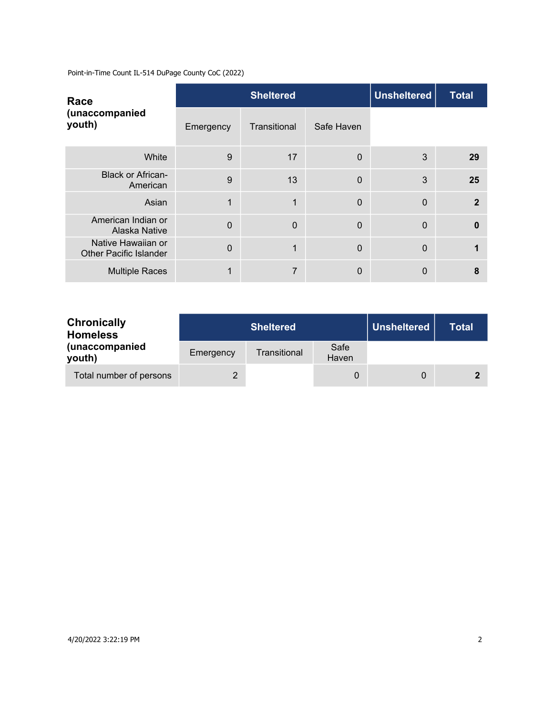Point-in-Time Count IL-514 DuPage County CoC (2022)

| Race<br>(unaccompanied<br>youth)                    |           | <b>Sheltered</b> | <b>Unsheltered</b> | <b>Total</b>   |              |
|-----------------------------------------------------|-----------|------------------|--------------------|----------------|--------------|
|                                                     | Emergency | Transitional     | Safe Haven         |                |              |
| White                                               | 9         | 17               | $\Omega$           | 3              | 29           |
| <b>Black or African-</b><br>American                | 9         | 13               | $\mathbf{0}$       | 3              | 25           |
| Asian                                               |           | 1                | 0                  | $\Omega$       | $\mathbf{2}$ |
| American Indian or<br>Alaska Native                 | $\Omega$  | $\mathbf 0$      | $\mathbf{0}$       | $\overline{0}$ | $\mathbf{0}$ |
| Native Hawaiian or<br><b>Other Pacific Islander</b> | $\Omega$  | 1                | $\Omega$           | $\overline{0}$ |              |
| <b>Multiple Races</b>                               |           | 7                | 0                  | 0              | 8            |

| <b>Chronically</b><br><b>Homeless</b> |           | <b>Sheltered</b> | Unsheltered   | <b>Total</b> |  |
|---------------------------------------|-----------|------------------|---------------|--------------|--|
| (unaccompanied<br>youth)              | Emergency | Transitional     | Safe<br>Haven |              |  |
| Total number of persons               |           |                  |               |              |  |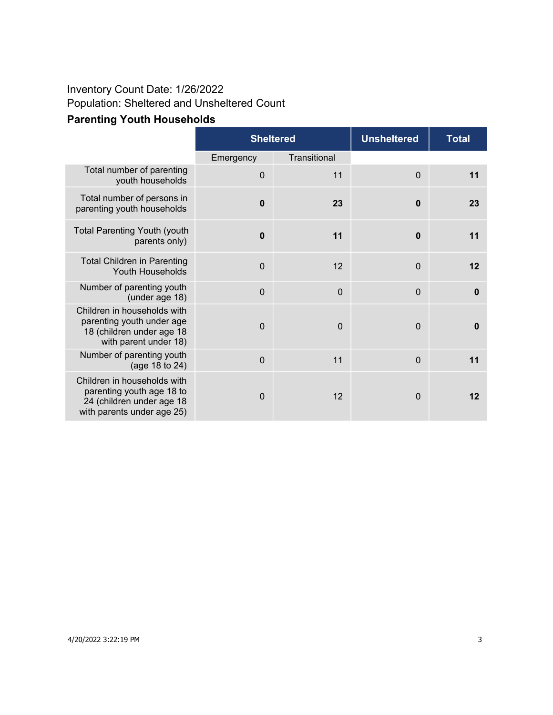## Inventory Count Date: 1/26/2022 Population: Sheltered and Unsheltered Count

|                                                                                                                | <b>Sheltered</b> |              | <b>Unsheltered</b> | <b>Total</b> |
|----------------------------------------------------------------------------------------------------------------|------------------|--------------|--------------------|--------------|
|                                                                                                                | Emergency        | Transitional |                    |              |
| Total number of parenting<br>youth households                                                                  | $\mathbf 0$      | 11           | $\mathbf 0$        | 11           |
| Total number of persons in<br>parenting youth households                                                       | $\mathbf 0$      | 23           | $\bf{0}$           | 23           |
| <b>Total Parenting Youth (youth</b><br>parents only)                                                           | $\mathbf 0$      | 11           | $\bf{0}$           | 11           |
| <b>Total Children in Parenting</b><br>Youth Households                                                         | $\mathbf 0$      | 12           | $\mathbf 0$        | 12           |
| Number of parenting youth<br>(under age 18)                                                                    | $\mathbf 0$      | $\mathbf 0$  | $\overline{0}$     | $\mathbf 0$  |
| Children in households with<br>parenting youth under age<br>18 (children under age 18<br>with parent under 18) | $\Omega$         | $\mathbf 0$  | $\mathbf 0$        | $\bf{0}$     |
| Number of parenting youth<br>(age 18 to 24)                                                                    | $\mathbf 0$      | 11           | $\mathbf 0$        | 11           |
| Children in households with                                                                                    |                  |              |                    |              |

## **Parenting Youth Households**

parenting youth age 18 to 24 (children under age 18 with parents under age 25)

0 12 0 **12**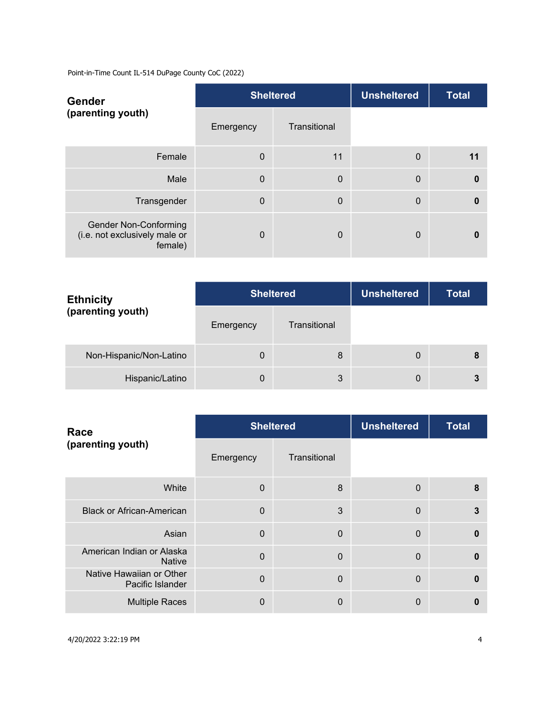Point-in-Time Count IL-514 DuPage County CoC (2022)

| <b>Gender</b><br>(parenting youth)                                       |             | <b>Sheltered</b> | <b>Unsheltered</b> | <b>Total</b> |
|--------------------------------------------------------------------------|-------------|------------------|--------------------|--------------|
|                                                                          | Emergency   | Transitional     |                    |              |
| Female                                                                   | $\mathbf 0$ | 11               | $\mathbf 0$        | 11           |
| Male                                                                     | $\Omega$    | $\mathbf 0$      | $\mathbf 0$        | $\bf{0}$     |
| Transgender                                                              | $\Omega$    | $\mathbf 0$      | $\mathbf 0$        | $\mathbf{0}$ |
| <b>Gender Non-Conforming</b><br>(i.e. not exclusively male or<br>female) | $\Omega$    | $\overline{0}$   | 0                  | 0            |

| <b>Ethnicity</b><br>(parenting youth) | <b>Sheltered</b> |              | <b>Unsheltered</b> | <b>Total</b> |
|---------------------------------------|------------------|--------------|--------------------|--------------|
|                                       | Emergency        | Transitional |                    |              |
| Non-Hispanic/Non-Latino               | $\mathbf 0$      | 8            | 0                  | 8            |
| Hispanic/Latino                       | $\mathbf 0$      | 3            | 0                  |              |

| Race<br>(parenting youth)                    |           | <b>Sheltered</b> | <b>Unsheltered</b> | <b>Total</b> |
|----------------------------------------------|-----------|------------------|--------------------|--------------|
|                                              | Emergency | Transitional     |                    |              |
| White                                        | $\Omega$  | 8                | $\mathbf 0$        | 8            |
| <b>Black or African-American</b>             | $\Omega$  | 3                | $\overline{0}$     | 3            |
| Asian                                        | $\Omega$  | $\Omega$         | $\mathbf 0$        | $\Omega$     |
| American Indian or Alaska<br><b>Native</b>   | $\Omega$  | $\Omega$         | $\mathbf 0$        | $\bf{0}$     |
| Native Hawaiian or Other<br>Pacific Islander | $\Omega$  | $\overline{0}$   | $\mathbf{0}$       | $\Omega$     |
| <b>Multiple Races</b>                        | $\Omega$  | 0                | 0                  | 0            |